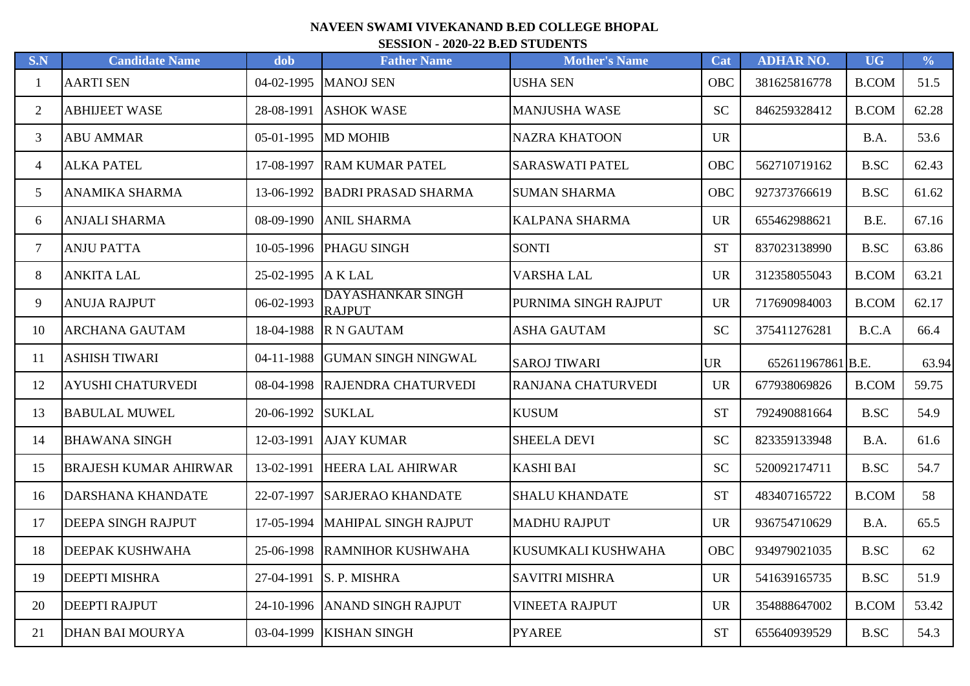## **NAVEEN SWAMI VIVEKANAND B.ED COLLEGE BHOPAL SESSION - 2020-22 B.ED STUDENTS**

| S.N            | <b>Candidate Name</b>        | dob        | <b>Father Name</b>                 | <b>Mother's Name</b>   | Cat        | <b>ADHAR NO.</b>  | <b>UG</b>    | $\frac{0}{0}$ |
|----------------|------------------------------|------------|------------------------------------|------------------------|------------|-------------------|--------------|---------------|
| 1              | <b>AARTI SEN</b>             | 04-02-1995 | <b>MANOJ SEN</b>                   | <b>USHA SEN</b>        | OBC        | 381625816778      | <b>B.COM</b> | 51.5          |
| 2              | <b>ABHIJEET WASE</b>         | 28-08-1991 | <b>ASHOK WASE</b>                  | <b>MANJUSHA WASE</b>   | <b>SC</b>  | 846259328412      | <b>B.COM</b> | 62.28         |
| 3              | <b>ABU AMMAR</b>             | 05-01-1995 | <b>MD MOHIB</b>                    | <b>NAZRA KHATOON</b>   | <b>UR</b>  |                   | B.A.         | 53.6          |
| $\overline{4}$ | <b>ALKA PATEL</b>            | 17-08-1997 | <b>RAM KUMAR PATEL</b>             | <b>SARASWATI PATEL</b> | <b>OBC</b> | 562710719162      | <b>B.SC</b>  | 62.43         |
| 5              | <b>ANAMIKA SHARMA</b>        | 13-06-1992 | <b>BADRI PRASAD SHARMA</b>         | <b>SUMAN SHARMA</b>    | <b>OBC</b> | 927373766619      | <b>B.SC</b>  | 61.62         |
| 6              | <b>ANJALI SHARMA</b>         | 08-09-1990 | <b>ANIL SHARMA</b>                 | KALPANA SHARMA         | <b>UR</b>  | 655462988621      | B.E.         | 67.16         |
| $\overline{7}$ | <b>ANJU PATTA</b>            | 10-05-1996 | PHAGU SINGH                        | <b>SONTI</b>           | <b>ST</b>  | 837023138990      | <b>B.SC</b>  | 63.86         |
| 8              | <b>ANKITA LAL</b>            | 25-02-1995 | A K LAL                            | <b>VARSHA LAL</b>      | <b>UR</b>  | 312358055043      | <b>B.COM</b> | 63.21         |
| 9              | <b>ANUJA RAJPUT</b>          | 06-02-1993 | DAYASHANKAR SINGH<br><b>RAJPUT</b> | PURNIMA SINGH RAJPUT   | <b>UR</b>  | 717690984003      | <b>B.COM</b> | 62.17         |
| 10             | <b>ARCHANA GAUTAM</b>        | 18-04-1988 | <b>R N GAUTAM</b>                  | <b>ASHA GAUTAM</b>     | <b>SC</b>  | 375411276281      | B.C.A        | 66.4          |
| 11             | <b>ASHISH TIWARI</b>         | 04-11-1988 | <b>GUMAN SINGH NINGWAL</b>         | <b>SAROJ TIWARI</b>    | <b>UR</b>  | 652611967861 B.E. |              | 63.94         |
| 12             | <b>AYUSHI CHATURVEDI</b>     | 08-04-1998 | RAJENDRA CHATURVEDI                | RANJANA CHATURVEDI     | <b>UR</b>  | 677938069826      | <b>B.COM</b> | 59.75         |
| 13             | <b>BABULAL MUWEL</b>         | 20-06-1992 | <b>SUKLAL</b>                      | <b>KUSUM</b>           | <b>ST</b>  | 792490881664      | <b>B.SC</b>  | 54.9          |
| 14             | <b>BHAWANA SINGH</b>         | 12-03-1991 | <b>AJAY KUMAR</b>                  | <b>SHEELA DEVI</b>     | <b>SC</b>  | 823359133948      | B.A.         | 61.6          |
| 15             | <b>BRAJESH KUMAR AHIRWAR</b> | 13-02-1991 | HEERA LAL AHIRWAR                  | <b>KASHI BAI</b>       | <b>SC</b>  | 520092174711      | <b>B.SC</b>  | 54.7          |
| 16             | <b>DARSHANA KHANDATE</b>     | 22-07-1997 | <b>SARJERAO KHANDATE</b>           | <b>SHALU KHANDATE</b>  | <b>ST</b>  | 483407165722      | <b>B.COM</b> | 58            |
| 17             | <b>DEEPA SINGH RAJPUT</b>    | 17-05-1994 | MAHIPAL SINGH RAJPUT               | <b>MADHU RAJPUT</b>    | <b>UR</b>  | 936754710629      | B.A.         | 65.5          |
| 18             | <b>DEEPAK KUSHWAHA</b>       | 25-06-1998 | <b>RAMNIHOR KUSHWAHA</b>           | KUSUMKALI KUSHWAHA     | OBC        | 934979021035      | B.SC         | 62            |
| 19             | <b>DEEPTI MISHRA</b>         | 27-04-1991 | S. P. MISHRA                       | <b>SAVITRI MISHRA</b>  | <b>UR</b>  | 541639165735      | <b>B.SC</b>  | 51.9          |
| 20             | <b>DEEPTI RAJPUT</b>         | 24-10-1996 | <b>ANAND SINGH RAJPUT</b>          | <b>VINEETA RAJPUT</b>  | <b>UR</b>  | 354888647002      | <b>B.COM</b> | 53.42         |
| 21             | DHAN BAI MOURYA              |            | 03-04-1999   KISHAN SINGH          | <b>PYAREE</b>          | <b>ST</b>  | 655640939529      | <b>B.SC</b>  | 54.3          |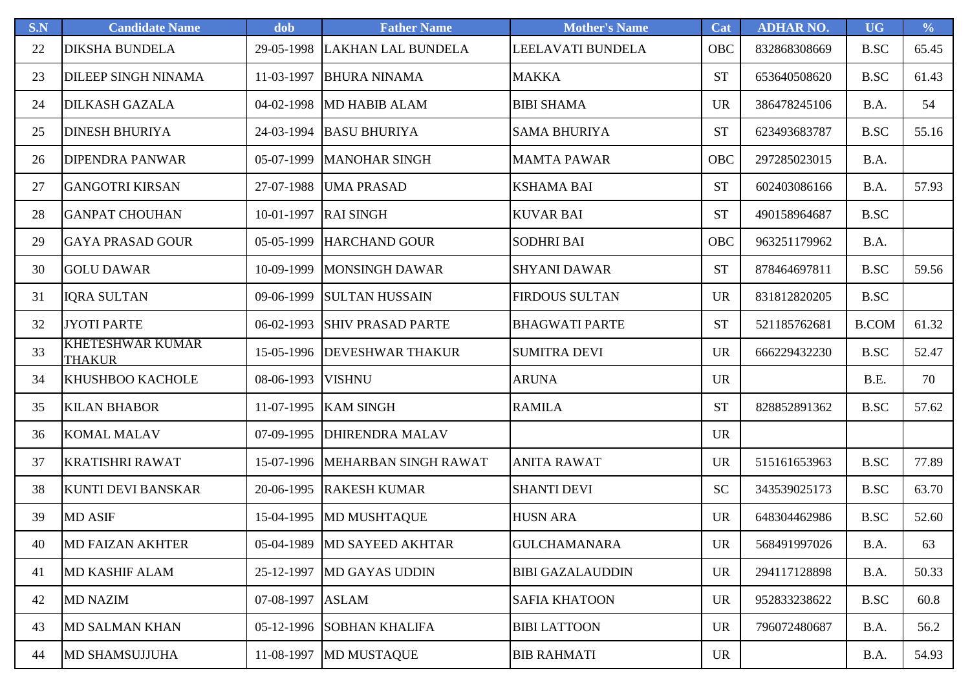| S.N | <b>Candidate Name</b>                    | dob        | <b>Father Name</b>        | <b>Mother's Name</b>    | Cat       | <b>ADHAR NO.</b> | <b>UG</b>    | $\frac{0}{0}$ |
|-----|------------------------------------------|------------|---------------------------|-------------------------|-----------|------------------|--------------|---------------|
| 22  | <b>DIKSHA BUNDELA</b>                    | 29-05-1998 | <b>LAKHAN LAL BUNDELA</b> | LEELAVATI BUNDELA       | OBC       | 832868308669     | <b>B.SC</b>  | 65.45         |
| 23  | <b>DILEEP SINGH NINAMA</b>               | 11-03-1997 | <b>BHURA NINAMA</b>       | <b>MAKKA</b>            | <b>ST</b> | 653640508620     | <b>B.SC</b>  | 61.43         |
| 24  | <b>DILKASH GAZALA</b>                    | 04-02-1998 | <b>MD HABIB ALAM</b>      | <b>BIBI SHAMA</b>       | <b>UR</b> | 386478245106     | B.A.         | 54            |
| 25  | <b>DINESH BHURIYA</b>                    | 24-03-1994 | <b>BASU BHURIYA</b>       | <b>SAMA BHURIYA</b>     | <b>ST</b> | 623493683787     | <b>B.SC</b>  | 55.16         |
| 26  | <b>DIPENDRA PANWAR</b>                   | 05-07-1999 | <b>MANOHAR SINGH</b>      | <b>MAMTA PAWAR</b>      | OBC       | 297285023015     | B.A.         |               |
| 27  | <b>GANGOTRI KIRSAN</b>                   | 27-07-1988 | <b>UMA PRASAD</b>         | <b>KSHAMA BAI</b>       | <b>ST</b> | 602403086166     | B.A.         | 57.93         |
| 28  | <b>GANPAT CHOUHAN</b>                    | 10-01-1997 | <b>RAI SINGH</b>          | <b>KUVAR BAI</b>        | <b>ST</b> | 490158964687     | B.SC         |               |
| 29  | <b>GAYA PRASAD GOUR</b>                  | 05-05-1999 | <b>HARCHAND GOUR</b>      | <b>SODHRI BAI</b>       | OBC       | 963251179962     | B.A.         |               |
| 30  | <b>GOLU DAWAR</b>                        | 10-09-1999 | <b>MONSINGH DAWAR</b>     | <b>SHYANI DAWAR</b>     | <b>ST</b> | 878464697811     | <b>B.SC</b>  | 59.56         |
| 31  | <b>IQRA SULTAN</b>                       | 09-06-1999 | <b>SULTAN HUSSAIN</b>     | <b>FIRDOUS SULTAN</b>   | <b>UR</b> | 831812820205     | <b>B.SC</b>  |               |
| 32  | <b>JYOTI PARTE</b>                       | 06-02-1993 | <b>SHIV PRASAD PARTE</b>  | <b>BHAGWATI PARTE</b>   | <b>ST</b> | 521185762681     | <b>B.COM</b> | 61.32         |
| 33  | <b>KHETESHWAR KUMAR</b><br><b>THAKUR</b> | 15-05-1996 | <b>DEVESHWAR THAKUR</b>   | <b>SUMITRA DEVI</b>     | <b>UR</b> | 666229432230     | <b>B.SC</b>  | 52.47         |
| 34  | <b>KHUSHBOO KACHOLE</b>                  | 08-06-1993 | <b>VISHNU</b>             | <b>ARUNA</b>            | <b>UR</b> |                  | B.E.         | 70            |
| 35  | <b>KILAN BHABOR</b>                      | 11-07-1995 | <b>KAM SINGH</b>          | <b>RAMILA</b>           | <b>ST</b> | 828852891362     | <b>B.SC</b>  | 57.62         |
| 36  | <b>KOMAL MALAV</b>                       | 07-09-1995 | <b>DHIRENDRA MALAV</b>    |                         | <b>UR</b> |                  |              |               |
| 37  | <b>KRATISHRI RAWAT</b>                   | 15-07-1996 | MEHARBAN SINGH RAWAT      | <b>ANITA RAWAT</b>      | <b>UR</b> | 515161653963     | <b>B.SC</b>  | 77.89         |
| 38  | <b>KUNTI DEVI BANSKAR</b>                | 20-06-1995 | <b>RAKESH KUMAR</b>       | <b>SHANTI DEVI</b>      | <b>SC</b> | 343539025173     | <b>B.SC</b>  | 63.70         |
| 39  | <b>MD ASIF</b>                           | 15-04-1995 | <b>MD MUSHTAQUE</b>       | <b>HUSN ARA</b>         | <b>UR</b> | 648304462986     | <b>B.SC</b>  | 52.60         |
| 40  | <b>MD FAIZAN AKHTER</b>                  | 05-04-1989 | <b>MD SAYEED AKHTAR</b>   | <b>GULCHAMANARA</b>     | <b>UR</b> | 568491997026     | B.A.         | 63            |
| 41  | <b>MD KASHIF ALAM</b>                    | 25-12-1997 | <b>MD GAYAS UDDIN</b>     | <b>BIBI GAZALAUDDIN</b> | <b>UR</b> | 294117128898     | B.A.         | 50.33         |
| 42  | <b>MD NAZIM</b>                          | 07-08-1997 | <b>ASLAM</b>              | <b>SAFIA KHATOON</b>    | <b>UR</b> | 952833238622     | B.SC         | 60.8          |
| 43  | <b>MD SALMAN KHAN</b>                    | 05-12-1996 | <b>SOBHAN KHALIFA</b>     | <b>BIBI LATTOON</b>     | <b>UR</b> | 796072480687     | B.A.         | 56.2          |
| 44  | <b>MD SHAMSUJJUHA</b>                    | 11-08-1997 | <b>MD MUSTAQUE</b>        | <b>BIB RAHMATI</b>      | UR        |                  | B.A.         | 54.93         |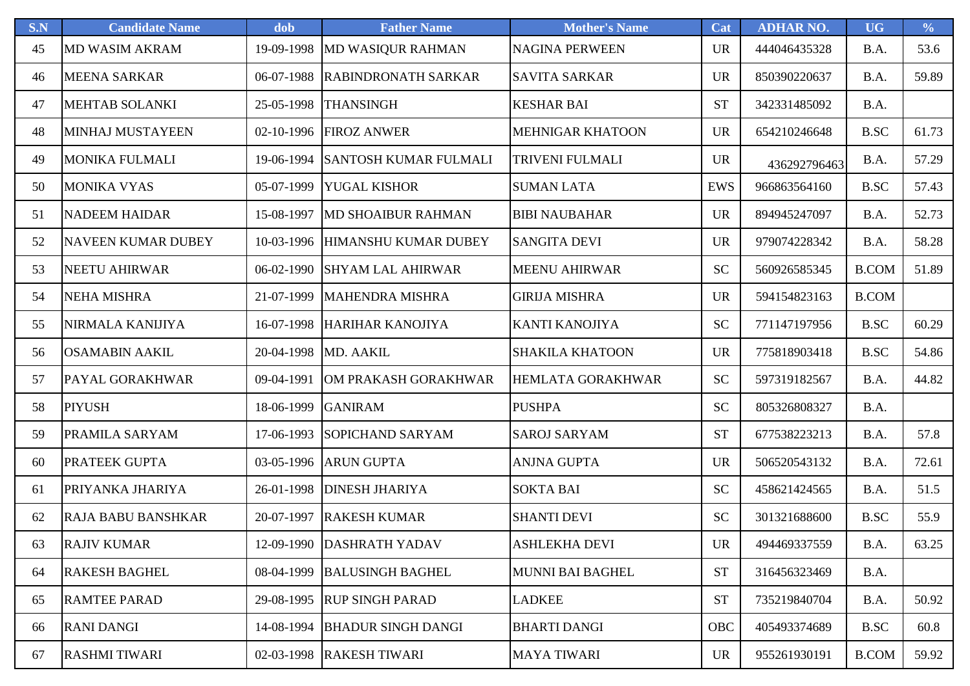| S.N | <b>Candidate Name</b>     | dob        | <b>Father Name</b>           | <b>Mother's Name</b>    | Cat        | <b>ADHAR NO.</b> | <b>UG</b>      | $\frac{0}{0}$ |
|-----|---------------------------|------------|------------------------------|-------------------------|------------|------------------|----------------|---------------|
| 45  | <b>MD WASIM AKRAM</b>     | 19-09-1998 | <b>MD WASIQUR RAHMAN</b>     | <b>NAGINA PERWEEN</b>   | <b>UR</b>  | 444046435328     | B.A.           | 53.6          |
| 46  | <b>MEENA SARKAR</b>       | 06-07-1988 | <b>RABINDRONATH SARKAR</b>   | <b>SAVITA SARKAR</b>    | <b>UR</b>  | 850390220637     | B.A.           | 59.89         |
| 47  | <b>MEHTAB SOLANKI</b>     | 25-05-1998 | <b>THANSINGH</b>             | <b>KESHAR BAI</b>       | <b>ST</b>  | 342331485092     | B.A.           |               |
| 48  | <b>MINHAJ MUSTAYEEN</b>   | 02-10-1996 | <b>FIROZ ANWER</b>           | <b>MEHNIGAR KHATOON</b> | <b>UR</b>  | 654210246648     | <b>B.SC</b>    | 61.73         |
| 49  | <b>MONIKA FULMALI</b>     | 19-06-1994 | <b>SANTOSH KUMAR FULMALI</b> | <b>TRIVENI FULMALI</b>  | <b>UR</b>  | 436292796463     | B.A.           | 57.29         |
| 50  | <b>MONIKA VYAS</b>        | 05-07-1999 | <b>YUGAL KISHOR</b>          | <b>SUMAN LATA</b>       | <b>EWS</b> | 966863564160     | <b>B.SC</b>    | 57.43         |
| 51  | <b>NADEEM HAIDAR</b>      | 15-08-1997 | <b>MD SHOAIBUR RAHMAN</b>    | <b>BIBI NAUBAHAR</b>    | <b>UR</b>  | 894945247097     | B.A.           | 52.73         |
| 52  | <b>NAVEEN KUMAR DUBEY</b> | 10-03-1996 | HIMANSHU KUMAR DUBEY         | <b>SANGITA DEVI</b>     | <b>UR</b>  | 979074228342     | B.A.           | 58.28         |
| 53  | <b>NEETU AHIRWAR</b>      | 06-02-1990 | <b>SHYAM LAL AHIRWAR</b>     | <b>MEENU AHIRWAR</b>    | <b>SC</b>  | 560926585345     | <b>B.COM</b>   | 51.89         |
| 54  | <b>NEHA MISHRA</b>        | 21-07-1999 | <b>MAHENDRA MISHRA</b>       | <b>GIRIJA MISHRA</b>    | <b>UR</b>  | 594154823163     | <b>B.COM</b>   |               |
| 55  | NIRMALA KANIJIYA          | 16-07-1998 | HARIHAR KANOJIYA             | <b>KANTI KANOJIYA</b>   | <b>SC</b>  | 771147197956     | <b>B.SC</b>    | 60.29         |
| 56  | <b>OSAMABIN AAKIL</b>     | 20-04-1998 | MD. AAKIL                    | <b>SHAKILA KHATOON</b>  | <b>UR</b>  | 775818903418     | <b>B.SC</b>    | 54.86         |
| 57  | <b>PAYAL GORAKHWAR</b>    | 09-04-1991 | OM PRAKASH GORAKHWAR         | HEMLATA GORAKHWAR       | <b>SC</b>  | 597319182567     | B.A.           | 44.82         |
| 58  | <b>PIYUSH</b>             | 18-06-1999 | <b>GANIRAM</b>               | <b>PUSHPA</b>           | <b>SC</b>  | 805326808327     | B.A.           |               |
| 59  | PRAMILA SARYAM            | 17-06-1993 | <b>SOPICHAND SARYAM</b>      | <b>SAROJ SARYAM</b>     | <b>ST</b>  | 677538223213     | B.A.           | 57.8          |
| 60  | <b>PRATEEK GUPTA</b>      | 03-05-1996 | <b>ARUN GUPTA</b>            | <b>ANJNA GUPTA</b>      | <b>UR</b>  | 506520543132     | B.A.           | 72.61         |
| 61  | PRIYANKA JHARIYA          | 26-01-1998 | <b>DINESH JHARIYA</b>        | <b>SOKTA BAI</b>        | <b>SC</b>  | 458621424565     | B.A.           | 51.5          |
| 62  | <b>RAJA BABU BANSHKAR</b> | 20-07-1997 | <b>RAKESH KUMAR</b>          | <b>SHANTI DEVI</b>      | <b>SC</b>  | 301321688600     | $_{\rm B. SC}$ | 55.9          |
| 63  | <b>RAJIV KUMAR</b>        |            | 12-09-1990 DASHRATH YADAV    | <b>ASHLEKHA DEVI</b>    | <b>UR</b>  | 494469337559     | B.A.           | 63.25         |
| 64  | <b>RAKESH BAGHEL</b>      | 08-04-1999 | <b>BALUSINGH BAGHEL</b>      | <b>MUNNI BAI BAGHEL</b> | <b>ST</b>  | 316456323469     | B.A.           |               |
| 65  | <b>RAMTEE PARAD</b>       | 29-08-1995 | <b>RUP SINGH PARAD</b>       | <b>LADKEE</b>           | <b>ST</b>  | 735219840704     | B.A.           | 50.92         |
| 66  | <b>RANI DANGI</b>         | 14-08-1994 | <b>BHADUR SINGH DANGI</b>    | <b>BHARTI DANGI</b>     | OBC        | 405493374689     | <b>B.SC</b>    | 60.8          |
| 67  | <b>RASHMI TIWARI</b>      | 02-03-1998 | <b>RAKESH TIWARI</b>         | <b>MAYA TIWARI</b>      | <b>UR</b>  | 955261930191     | <b>B.COM</b>   | 59.92         |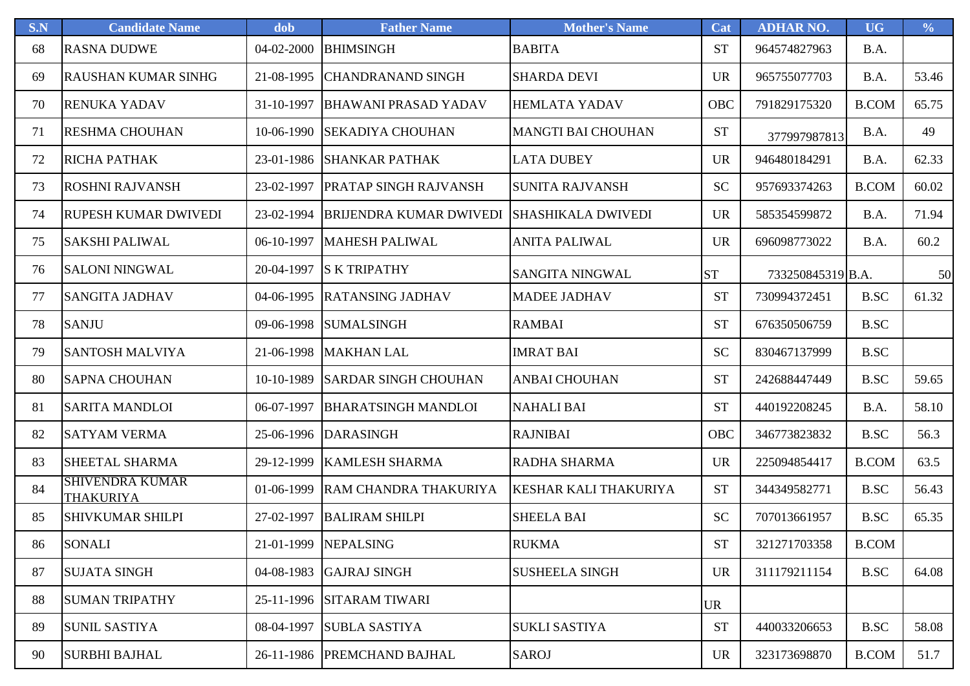| S.N | <b>Candidate Name</b>                      | dob        | <b>Father Name</b>             | <b>Mother's Name</b>      | Cat       | <b>ADHAR NO.</b>  | <b>UG</b>    | $\frac{0}{0}$ |
|-----|--------------------------------------------|------------|--------------------------------|---------------------------|-----------|-------------------|--------------|---------------|
| 68  | <b>RASNA DUDWE</b>                         | 04-02-2000 | <b>BHIMSINGH</b>               | <b>BABITA</b>             | <b>ST</b> | 964574827963      | B.A.         |               |
| 69  | <b>RAUSHAN KUMAR SINHG</b>                 | 21-08-1995 | <b>CHANDRANAND SINGH</b>       | <b>SHARDA DEVI</b>        | <b>UR</b> | 965755077703      | B.A.         | 53.46         |
| 70  | <b>RENUKA YADAV</b>                        | 31-10-1997 | <b>BHAWANI PRASAD YADAV</b>    | <b>HEMLATA YADAV</b>      | OBC       | 791829175320      | <b>B.COM</b> | 65.75         |
| 71  | <b>RESHMA CHOUHAN</b>                      | 10-06-1990 | <b>SEKADIYA CHOUHAN</b>        | <b>MANGTI BAI CHOUHAN</b> | <b>ST</b> | 377997987813      | B.A.         | 49            |
| 72  | <b>RICHA PATHAK</b>                        | 23-01-1986 | <b>SHANKAR PATHAK</b>          | <b>LATA DUBEY</b>         | <b>UR</b> | 946480184291      | B.A.         | 62.33         |
| 73  | <b>ROSHNI RAJVANSH</b>                     | 23-02-1997 | <b>PRATAP SINGH RAJVANSH</b>   | <b>SUNITA RAJVANSH</b>    | <b>SC</b> | 957693374263      | <b>B.COM</b> | 60.02         |
| 74  | <b>RUPESH KUMAR DWIVEDI</b>                | 23-02-1994 | <b>BRIJENDRA KUMAR DWIVEDI</b> | <b>SHASHIKALA DWIVEDI</b> | <b>UR</b> | 585354599872      | B.A.         | 71.94         |
| 75  | <b>SAKSHI PALIWAL</b>                      | 06-10-1997 | <b>MAHESH PALIWAL</b>          | <b>ANITA PALIWAL</b>      | <b>UR</b> | 696098773022      | B.A.         | 60.2          |
| 76  | <b>SALONI NINGWAL</b>                      | 20-04-1997 | <b>S K TRIPATHY</b>            | SANGITA NINGWAL           | <b>ST</b> | 733250845319 B.A. |              | 50            |
| 77  | <b>SANGITA JADHAV</b>                      | 04-06-1995 | <b>RATANSING JADHAV</b>        | <b>MADEE JADHAV</b>       | <b>ST</b> | 730994372451      | <b>B.SC</b>  | 61.32         |
| 78  | <b>SANJU</b>                               | 09-06-1998 | <b>SUMALSINGH</b>              | <b>RAMBAI</b>             | <b>ST</b> | 676350506759      | <b>B.SC</b>  |               |
| 79  | <b>SANTOSH MALVIYA</b>                     | 21-06-1998 | <b>MAKHAN LAL</b>              | <b>IMRAT BAI</b>          | <b>SC</b> | 830467137999      | B.SC         |               |
| 80  | <b>SAPNA CHOUHAN</b>                       | 10-10-1989 | <b>SARDAR SINGH CHOUHAN</b>    | <b>ANBAI CHOUHAN</b>      | <b>ST</b> | 242688447449      | <b>B.SC</b>  | 59.65         |
| 81  | <b>SARITA MANDLOI</b>                      | 06-07-1997 | <b>BHARATSINGH MANDLOI</b>     | <b>NAHALI BAI</b>         | <b>ST</b> | 440192208245      | B.A.         | 58.10         |
| 82  | <b>SATYAM VERMA</b>                        | 25-06-1996 | <b>DARASINGH</b>               | <b>RAJNIBAI</b>           | OBC       | 346773823832      | <b>B.SC</b>  | 56.3          |
| 83  | <b>SHEETAL SHARMA</b>                      | 29-12-1999 | <b>KAMLESH SHARMA</b>          | RADHA SHARMA              | <b>UR</b> | 225094854417      | <b>B.COM</b> | 63.5          |
| 84  | <b>SHIVENDRA KUMAR</b><br><b>THAKURIYA</b> | 01-06-1999 | RAM CHANDRA THAKURIYA          | KESHAR KALI THAKURIYA     | <b>ST</b> | 344349582771      | <b>B.SC</b>  | 56.43         |
| 85  | <b>SHIVKUMAR SHILPI</b>                    | 27-02-1997 | <b>BALIRAM SHILPI</b>          | <b>SHEELA BAI</b>         | <b>SC</b> | 707013661957      | <b>B.SC</b>  | 65.35         |
| 86  | <b>SONALI</b>                              |            | 21-01-1999 NEPALSING           | <b>RUKMA</b>              | <b>ST</b> | 321271703358      | <b>B.COM</b> |               |
| 87  | <b>SUJATA SINGH</b>                        | 04-08-1983 | <b>GAJRAJ SINGH</b>            | <b>SUSHEELA SINGH</b>     | <b>UR</b> | 311179211154      | <b>B.SC</b>  | 64.08         |
| 88  | <b>SUMAN TRIPATHY</b>                      | 25-11-1996 | <b>SITARAM TIWARI</b>          |                           | <b>UR</b> |                   |              |               |
| 89  | <b>SUNIL SASTIYA</b>                       | 08-04-1997 | <b>SUBLA SASTIYA</b>           | <b>SUKLI SASTIYA</b>      | <b>ST</b> | 440033206653      | <b>B.SC</b>  | 58.08         |
| 90  | <b>SURBHI BAJHAL</b>                       |            | 26-11-1986  PREMCHAND BAJHAL   | SAROJ                     | <b>UR</b> | 323173698870      | <b>B.COM</b> | 51.7          |